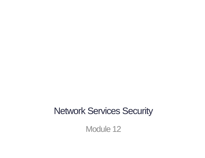#### Network Services Security

Module 12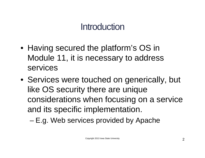### **Introduction**

- Having secured the platform's OS in Module 11, it is necessary to address services
- Services were touched on generically, but like OS security there are unique considerations when focusing on a service and its specific implementation.
	- E.g. Web services provided by Apache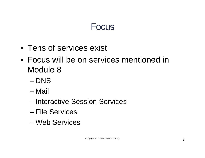#### Focus

- Tens of services exist
- Focus will be on services mentioned in Module 8
	- DNS
	- Mail
	- Interactive Session Services
	- File Services
	- Web Services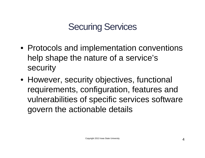# Securing Services

- Protocols and implementation conventions help shape the nature of a service's security
- However, security objectives, functional requirements, configuration, features and vulnerabilities of specific services software govern the actionable details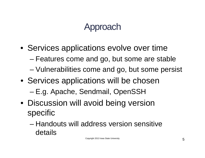# Approach

- Services applications evolve over time
	- Features come and go, but some are stable
	- Vulnerabilities come and go, but some persist
- Services applications will be chosen
	- E.g. Apache, Sendmail, OpenSSH
- Discussion will avoid being version specific
	- Handouts will address version sensitive details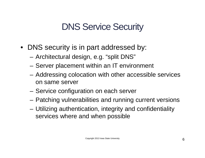# DNS Service Security

- DNS security is in part addressed by:
	- Architectural design, e.g. "split DNS"
	- Server placement within an IT environment
	- Addressing colocation with other accessible services on same server
	- Service configuration on each server
	- Patching vulnerabilities and running current versions
	- Utilizing authentication, integrity and confidentiality services where and when possible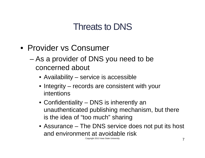- Provider vs Consumer
	- As a provider of DNS you need to be concerned about
		- Availability service is accessible
		- Integrity records are consistent with your intentions
		- Confidentiality DNS is inherently an unauthenticated publishing mechanism, but there is the idea of "too much" sharing
		- Assurance The DNS service does not put its host and environment at avoidable risk

Copyright 2013 Iowa State University **7**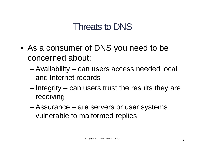- As a consumer of DNS you need to be concerned about:
	- Availability can users access needed local and Internet records
	- Integrity can users trust the results they are receiving
	- Assurance are servers or user systems vulnerable to malformed replies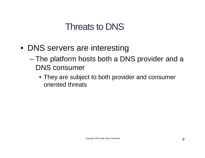- DNS servers are interesting
	- The platform hosts both a DNS provider and a DNS consumer
		- They are subject to both provider and consumer oriented threats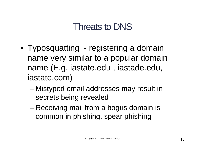- Typosquatting registering a domain name very similar to a popular domain name (E.g. iastate.edu , iastade.edu, iastate.com)
	- Mistyped email addresses may result in secrets being revealed
	- Receiving mail from a bogus domain is common in phishing, spear phishing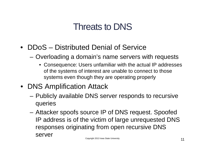- DDoS Distributed Denial of Service
	- Overloading a domain's name servers with requests
		- Consequence: Users unfamiliar with the actual IP addresses of the systems of interest are unable to connect to those systems even though they are operating properly
- DNS Amplification Attack
	- Publicly available DNS server responds to recursive queries
	- Attacker spoofs source IP of DNS request. Spoofed IP address is of the victim of large unrequested DNS responses originating from open recursive DNS server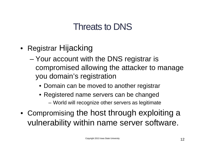- Registrar Hijacking
	- Your account with the DNS registrar is compromised allowing the attacker to manage you domain's registration
		- Domain can be moved to another registrar
		- Registered name servers can be changed
			- World will recognize other servers as legitimate
- Compromising the host through exploiting a vulnerability within name server software.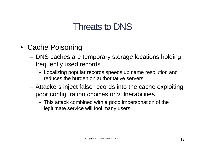- Cache Poisoning
	- DNS caches are temporary storage locations holding frequently used records
		- Localizing popular records speeds up name resolution and reduces the burden on authoritative servers
	- Attackers inject false records into the cache exploiting poor configuration choices or vulnerabilities
		- This attack combined with a good impersonation of the legitimate service will fool many users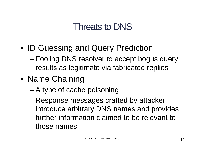- ID Guessing and Query Prediction
	- Fooling DNS resolver to accept bogus query results as legitimate via fabricated replies
- Name Chaining
	- A type of cache poisoning
	- Response messages crafted by attacker introduce arbitrary DNS names and provides further information claimed to be relevant to those names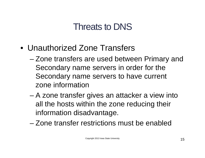- Unauthorized Zone Transfers
	- Zone transfers are used between Primary and Secondary name servers in order for the Secondary name servers to have current zone information
	- A zone transfer gives an attacker a view into all the hosts within the zone reducing their information disadvantage.
	- Zone transfer restrictions must be enabled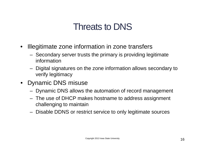- Illegitimate zone information in zone transfers
	- Secondary server trusts the primary is providing legitimate information
	- Digital signatures on the zone information allows secondary to verify legitimacy
- Dynamic DNS misuse
	- Dynamic DNS allows the automation of record management
	- The use of DHCP makes hostname to address assignment challenging to maintain
	- Disable DDNS or restrict service to only legitimate sources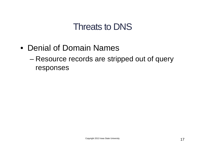- Denial of Domain Names
	- Resource records are stripped out of query responses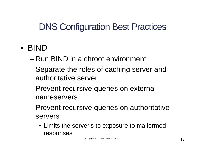# DNS Configuration Best Practices

#### • BIND

- Run BIND in a chroot environment
- Separate the roles of caching server and authoritative server
- Prevent recursive queries on external nameservers
- Prevent recursive queries on authoritative servers
	- Limits the server's to exposure to malformed responses

Copyright 2013 Iowa State University **18**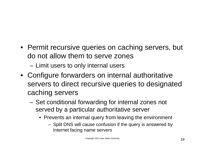- Permit recursive queries on caching servers, but do not allow them to serve zones
	- Limit users to only internal users
- Configure forwarders on internal authoritative servers to direct recursive queries to designated caching servers
	- Set conditional forwarding for internal zones not served by a particular authoritative server
		- Prevents an internal query from leaving the environment
			- Split DNS will cause confusion if the query is answered by Internet facing name servers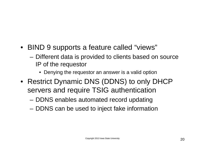- BIND 9 supports a feature called "views"
	- Different data is provided to clients based on source IP of the requestor
		- Denying the requestor an answer is a valid option
- Restrict Dynamic DNS (DDNS) to only DHCP servers and require TSIG authentication
	- DDNS enables automated record updating
	- DDNS can be used to inject fake information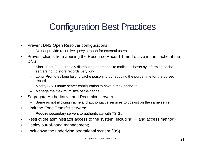# Configuration Best Practices

- Prevent DNS Open Resolver configurations
	- Do not provide recursive query support for external users
- Prevent clients from abusing the Resource Record Time To Live in the cache of the DNS
	- Short: Fast-Flux rapidly distributing addresses to malicious hosts by informing cache servers not to store records very long
	- Long: Promotes long lasting cache poisoning by reducing the purge time for the poised record
	- Modify BIND name server configuration to have a max-cache-ttl
	- Manage the maximum size of the cache
- Segregate Authoritative and Recursive servers
	- Same as not allowing cache and authoritative services to coexist on the same server
- Limit the Zone Transfer servers;
	- Require secondary servers to authenticate with TSIGs
- Restrict the administrator access to the system (including IP and access method)
- Deploy out-of-band management;
- Lock down the underlying operational system (OS)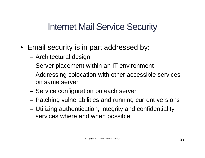### Internet Mail Service Security

- Email security is in part addressed by:
	- Architectural design
	- Server placement within an IT environment
	- Addressing colocation with other accessible services on same server
	- Service configuration on each server
	- Patching vulnerabilities and running current versions
	- Utilizing authentication, integrity and confidentiality services where and when possible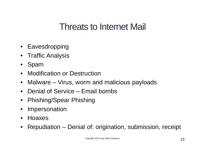- Eavesdropping
- Traffic Analysis
- Spam
- Modification or Destruction
- Malware Virus, worm and malicious payloads
- Denial of Service Email bombs
- Phishing/Spear Phishing
- Impersonation
- Hoaxes
- Repudiation Denial of: origination, submission, receipt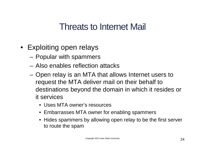- Exploiting open relays
	- Popular with spammers
	- Also enables reflection attacks
	- Open relay is an MTA that allows Internet users to request the MTA deliver mail on their behalf to destinations beyond the domain in which it resides or it services
		- Uses MTA owner's resources
		- Embarrasses MTA owner for enabling spammers
		- Hides spammers by allowing open relay to be the first server to route the spam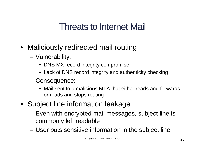- Maliciously redirected mail routing
	- Vulnerability:
		- DNS MX record integrity compromise
		- Lack of DNS record integrity and authenticity checking
	- Consequence:
		- Mail sent to a malicious MTA that either reads and forwards or reads and stops routing
- Subject line information leakage
	- Even with encrypted mail messages, subject line is commonly left readable
	- User puts sensitive information in the subject line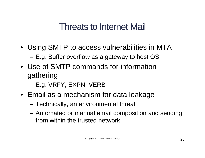- Using SMTP to access vulnerabilities in MTA – E.g. Buffer overflow as a gateway to host OS
- Use of SMTP commands for information gathering
	- E.g. VRFY, EXPN, VERB
- Email as a mechanism for data leakage
	- Technically, an environmental threat
	- Automated or manual email composition and sending from within the trusted network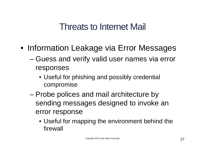- Information Leakage via Error Messages
	- Guess and verify valid user names via error responses
		- Useful for phishing and possibly credential compromise
	- Probe polices and mail architecture by sending messages designed to invoke an error response
		- Useful for mapping the environment behind the firewall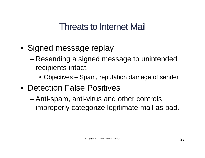- Signed message replay
	- Resending a signed message to unintended recipients intact.
		- Objectives Spam, reputation damage of sender
- Detection False Positives
	- Anti-spam, anti-virus and other controls improperly categorize legitimate mail as bad.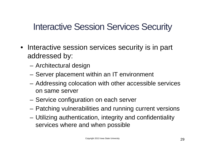- Interactive session services security is in part addressed by:
	- Architectural design
	- Server placement within an IT environment
	- Addressing colocation with other accessible services on same server
	- Service configuration on each server
	- Patching vulnerabilities and running current versions
	- Utilizing authentication, integrity and confidentiality services where and when possible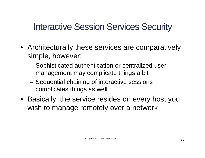- Architecturally these services are comparatively simple, however:
	- Sophisticated authentication or centralized user management may complicate things a bit
	- Sequential chaining of interactive sessions complicates things as well
- Basically, the service resides on every host you wish to manage remotely over a network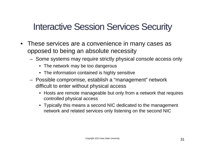- These services are a convenience in many cases as opposed to being an absolute necessity
	- Some systems may require strictly physical console access only
		- The network may be too dangerous
		- The information contained is highly sensitive
	- $-$  Possible compromise, establish a "management" network difficult to enter without physical access
		- Hosts are remote manageable but only from a network that requires controlled physical access
		- Typically this means a second NIC dedicated to the management network and related services only listening on the second NIC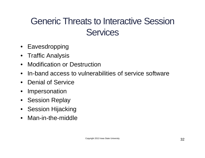# Generic Threats to Interactive Session **Services**

- Eavesdropping
- Traffic Analysis
- Modification or Destruction
- In-band access to vulnerabilities of service software
- Denial of Service
- **Impersonation**
- Session Replay
- Session Hijacking
- Man-in-the-middle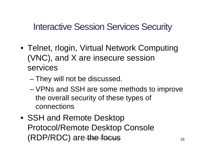- Telnet, rlogin, Virtual Network Computing (VNC), and X are insecure session services
	- They will not be discussed.
	- VPNs and SSH are some methods to improve the overall security of these types of connections
- SSH and Remote Desktop Protocol/Remote Desktop Console  $(RDP/RDC)$  are the focus  $33$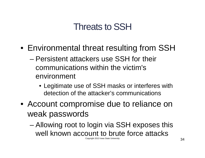#### Threats to SSH

- Environmental threat resulting from SSH
	- Persistent attackers use SSH for their communications within the victim's environment
		- Legitimate use of SSH masks or interferes with detection of the attacker's communications
- Account compromise due to reliance on weak passwords
	- Allowing root to login via SSH exposes this well known account to brute force attacks Copyright 2013 Iowa State University **34**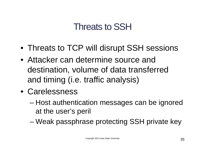### Threats to SSH

- Threats to TCP will disrupt SSH sessions
- Attacker can determine source and destination, volume of data transferred and timing (i.e. traffic analysis)
- Carelessness
	- Host authentication messages can be ignored at the user's peril
	- Weak passphrase protecting SSH private key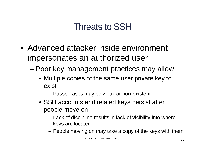## Threats to SSH

- Advanced attacker inside environment impersonates an authorized user
	- Poor key management practices may allow:
		- Multiple copies of the same user private key to exist
			- Passphrases may be weak or non-existent
		- SSH accounts and related keys persist after people move on
			- Lack of discipline results in lack of visibility into where keys are located
			- People moving on may take a copy of the keys with them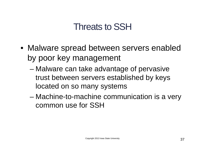#### Threats to SSH

- Malware spread between servers enabled by poor key management
	- Malware can take advantage of pervasive trust between servers established by keys located on so many systems
	- Machine-to-machine communication is a very common use for SSH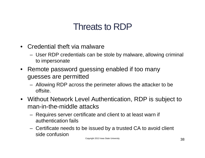### Threats to RDP

- Credential theft via malware
	- User RDP credentials can be stole by malware, allowing criminal to impersonate
- Remote password guessing enabled if too many guesses are permitted
	- Allowing RDP across the perimeter allows the attacker to be offsite.
- Without Network Level Authentication, RDP is subject to man-in-the-middle attacks
	- Requires server certificate and client to at least warn if authentication fails
	- Certificate needs to be issued by a trusted CA to avoid client side confusion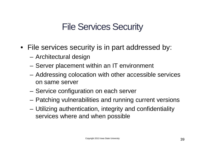- File services security is in part addressed by:
	- Architectural design
	- Server placement within an IT environment
	- Addressing colocation with other accessible services on same server
	- Service configuration on each server
	- Patching vulnerabilities and running current versions
	- Utilizing authentication, integrity and confidentiality services where and when possible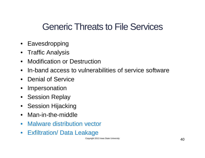#### Generic Threats to File Services

- Eavesdropping
- Traffic Analysis
- Modification or Destruction
- In-band access to vulnerabilities of service software
- Denial of Service
- Impersonation
- Session Replay
- Session Hijacking
- Man-in-the-middle
- Malware distribution vector
- Exfiltration/ Data Leakage

Copyright 2013 Iowa State University  $40$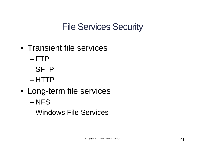- Transient file services
	- FTP
	- SFTP
	- HTTP
- Long-term file services
	- NFS
	- Windows File Services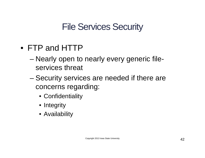- FTP and HTTP
	- Nearly open to nearly every generic fileservices threat
	- Security services are needed if there are concerns regarding:
		- Confidentiality
		- Integrity
		- Availability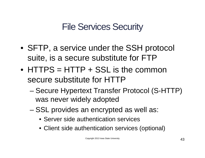- SFTP, a service under the SSH protocol suite, is a secure substitute for FTP
- HTTPS = HTTP + SSL is the common secure substitute for HTTP
	- Secure Hypertext Transfer Protocol (S-HTTP) was never widely adopted
	- SSL provides an encrypted as well as:
		- Server side authentication services
		- Client side authentication services (optional)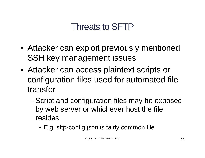### Threats to SFTP

- Attacker can exploit previously mentioned SSH key management issues
- Attacker can access plaintext scripts or configuration files used for automated file transfer
	- Script and configuration files may be exposed by web server or whichever host the file resides
		- E.g. sftp-config.json is fairly common file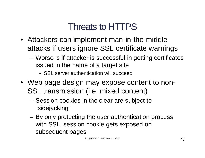### Threats to HTTPS

- Attackers can implement man-in-the-middle attacks if users ignore SSL certificate warnings
	- Worse is if attacker is successful in getting certificates issued in the name of a target site
		- SSL server authentication will succeed
- Web page design may expose content to non-SSL transmission (i.e. mixed content)
	- Session cookies in the clear are subject to "sidejacking"
	- By only protecting the user authentication process with SSL, session cookie gets exposed on subsequent pages

Copyright 2013 Iowa State University **45**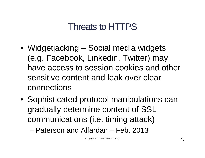### Threats to HTTPS

- Widgetjacking Social media widgets (e.g. Facebook, Linkedin, Twitter) may have access to session cookies and other sensitive content and leak over clear connections
- Sophisticated protocol manipulations can gradually determine content of SSL communications (i.e. timing attack)

– Paterson and Alfardan – Feb. 2013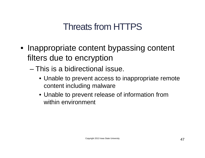### Threats from HTTPS

- Inappropriate content bypassing content filters due to encryption
	- This is a bidirectional issue.
		- Unable to prevent access to inappropriate remote content including malware
		- Unable to prevent release of information from within environment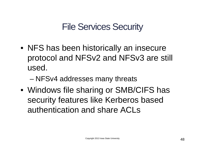- NFS has been historically an insecure protocol and NFSv2 and NFSv3 are still used.
	- NFSv4 addresses many threats
- Windows file sharing or SMB/CIFS has security features like Kerberos based authentication and share ACLs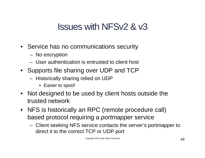### Issues with NFSv2 & v3

- Service has no communications security
	- No encryption
	- User authentication is entrusted to client host
- Supports file sharing over UDP and TCP
	- Historically sharing relied on UDP
		- Easier to spoof
- Not designed to be used by client hosts outside the trusted network
- NFS is historically an RPC (remote procedure call) based protocol requiring a *portmapper* service
	- Client seeking NFS service contacts the server's portmapper to direct it to the correct TCP or UDP port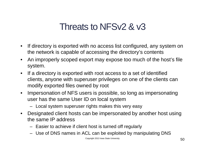### Threats to NFSv2 & v3

- If directory is exported with no access list configured, any system on the network is capable of accessing the directory's contents
- An improperly scoped export may expose too much of the host's file system.
- If a directory is exported with root access to a set of identified clients, anyone with superuser privileges on one of the clients can modify exported files owned by root
- Impersonation of NFS users is possible, so long as impersonating user has the same User ID on local system
	- Local system superuser rights makes this very easy
- Designated client hosts can be impersonated by another host using the same IP address
	- Easier to achieve if client host is turned off regularly
	- Use of DNS names in ACL can be exploited by manipulating DNS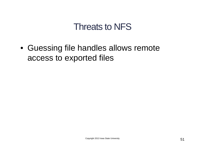#### Threats to NFS

• Guessing file handles allows remote access to exported files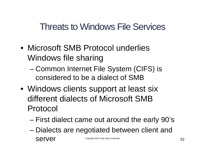- Microsoft SMB Protocol underlies Windows file sharing
	- Common Internet File System (CIFS) is considered to be a dialect of SMB
- Windows clients support at least six different dialects of Microsoft SMB Protocol
	- First dialect came out around the early 90's
	- Dialects are negotiated between client and Server Copyright 2013 Iowa State University 52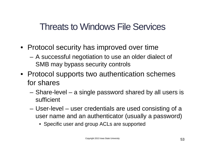- Protocol security has improved over time
	- A successful negotiation to use an older dialect of SMB may bypass security controls
- Protocol supports two authentication schemes for shares
	- Share-level a single password shared by all users is sufficient
	- User-level user credentials are used consisting of a user name and an authenticator (usually a password)
		- Specific user and group ACLs are supported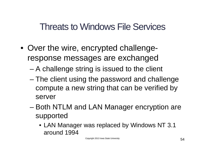- Over the wire, encrypted challengeresponse messages are exchanged
	- A challenge string is issued to the client
	- The client using the password and challenge compute a new string that can be verified by server
	- Both NTLM and LAN Manager encryption are supported
		- LAN Manager was replaced by Windows NT 3.1 around 1994

Copyright 2013 Iowa State University **54**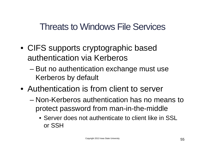- CIFS supports cryptographic based authentication via Kerberos
	- But no authentication exchange must use Kerberos by default
- Authentication is from client to server
	- Non-Kerberos authentication has no means to protect password from man-in-the-middle
		- Server does not authenticate to client like in SSL or SSH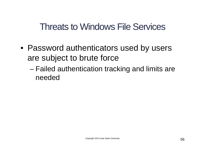- Password authenticators used by users are subject to brute force
	- Failed authentication tracking and limits are needed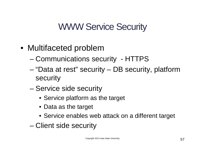### WWW Service Security

- Multifaceted problem
	- Communications security HTTPS
	- "Data at rest" security DB security, platform security
	- Service side security
		- Service platform as the target
		- Data as the target
		- Service enables web attack on a different target
	- Client side security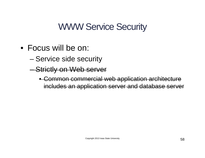#### WWW Service Security

- Focus will be on:
	- Service side security
	- Strictly on Web server
		- Common commercial web application architecture includes an application server and database server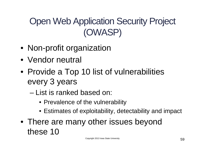# Open Web Application Security Project (OWASP)

- Non-profit organization
- Vendor neutral
- Provide a Top 10 list of vulnerabilities every 3 years
	- List is ranked based on:
		- Prevalence of the vulnerability
		- Estimates of exploitability, detectability and impact
- There are many other issues beyond these 10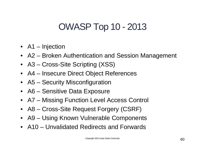### OWASP Top 10 - 2013

- A1 Injection
- A2 Broken Authentication and Session Management
- A3 Cross-Site Scripting (XSS)
- A4 Insecure Direct Object References
- A5 Security Misconfiguration
- A6 Sensitive Data Exposure
- A7 Missing Function Level Access Control
- A8 Cross-Site Request Forgery (CSRF)
- A9 Using Known Vulnerable Components
- A10 Unvalidated Redirects and Forwards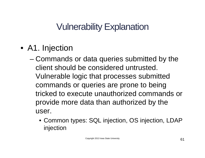- A1. Injection
	- Commands or data queries submitted by the client should be considered untrusted. Vulnerable logic that processes submitted commands or queries are prone to being tricked to execute unauthorized commands or provide more data than authorized by the user.
		- Common types: SQL injection, OS injection, LDAP injection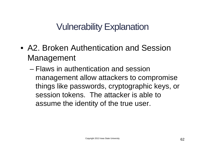- A2. Broken Authentication and Session Management
	- Flaws in authentication and session management allow attackers to compromise things like passwords, cryptographic keys, or session tokens. The attacker is able to assume the identity of the true user.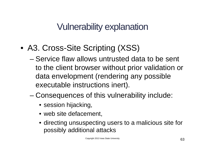- A3. Cross-Site Scripting (XSS)
	- Service flaw allows untrusted data to be sent to the client browser without prior validation or data envelopment (rendering any possible executable instructions inert).
	- Consequences of this vulnerability include:
		- session hijacking,
		- web site defacement,
		- directing unsuspecting users to a malicious site for possibly additional attacks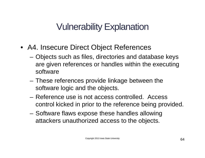- A4. Insecure Direct Object References
	- Objects such as files, directories and database keys are given references or handles within the executing software
	- These references provide linkage between the software logic and the objects.
	- Reference use is not access controlled. Access control kicked in prior to the reference being provided.
	- Software flaws expose these handles allowing attackers unauthorized access to the objects.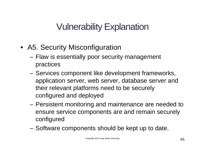- A5. Security Misconfiguration
	- Flaw is essentially poor security management practices
	- Services component like development frameworks, application server, web server, database server and their relevant platforms need to be securely configured and deployed
	- Persistent monitoring and maintenance are needed to ensure service components are and remain securely configured
	- Software components should be kept up to date.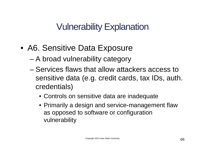- A6. Sensitive Data Exposure
	- A broad vulnerability category
	- Services flaws that allow attackers access to sensitive data (e.g. credit cards, tax IDs, auth. credentials)
		- Controls on sensitive data are inadequate
		- Primarily a design and service-management flaw as opposed to software or configuration vulnerability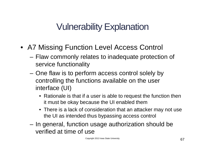- A7 Missing Function Level Access Control
	- Flaw commonly relates to inadequate protection of service functionality
	- One flaw is to perform access control solely by controlling the functions available on the user interface (UI)
		- Rationale is that if a user is able to request the function then it must be okay because the UI enabled them
		- There is a lack of consideration that an attacker may not use the UI as intended thus bypassing access control
	- In general, function usage authorization should be verified at time of use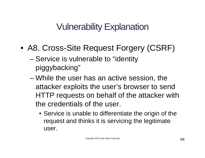- A8. Cross-Site Request Forgery (CSRF)
	- Service is vulnerable to "identity piggybacking"
	- While the user has an active session, the attacker exploits the user's browser to send HTTP requests on behalf of the attacker with the credentials of the user.
		- Service is unable to differentiate the origin of the request and thinks it is servicing the legitimate user.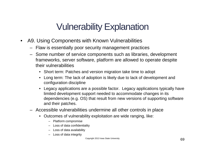- A9. Using Components with Known Vulnerabilities
	- Flaw is essentially poor security management practices
	- Some number of service components such as libraries, development frameworks, server software, platform are allowed to operate despite their vulnerabilities
		- Short term: Patches and version migration take time to adopt
		- Long term: The lack of adoption is likely due to lack of development and configuration discipline
		- Legacy applications are a possible factor. Legacy applications typically have limited development support needed to accommodate changes in its dependencies (e.g. OS) that result from new versions of supporting software and their patches.
	- Accessible vulnerabilities undermine all other controls in place
		- Outcomes of vulnerability exploitation are wide ranging, like:
			- Platform compromise
			- Loss of data confidentiality
			- Loss of data availability
			- Loss of data integrity

Copyright 2013 Iowa State University **69**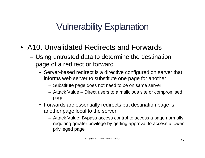- A10. Unvalidated Redirects and Forwards
	- Using untrusted data to determine the destination page of a redirect or forward
		- Server-based redirect is a directive configured on server that informs web server to substitute one page for another
			- Substitute page does not need to be on same server
			- Attack Value Direct users to a malicious site or compromised page
		- Forwards are essentially redirects but destination page is another page local to the server
			- Attack Value: Bypass access control to access a page normally requiring greater privilege by getting approval to access a lower privileged page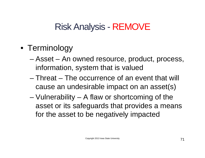### Risk Analysis - REMOVE

- Terminology
	- Asset An owned resource, product, process, information, system that is valued
	- Threat The occurrence of an event that will cause an undesirable impact on an asset(s)
	- Vulnerability A flaw or shortcoming of the asset or its safeguards that provides a means for the asset to be negatively impacted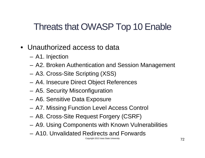### Threats that OWASP Top 10 Enable

- Unauthorized access to data
	- A1. Injection
	- A2. Broken Authentication and Session Management
	- A3. Cross-Site Scripting (XSS)
	- A4. Insecure Direct Object References
	- A5. Security Misconfiguration
	- A6. Sensitive Data Exposure
	- A7. Missing Function Level Access Control
	- A8. Cross-Site Request Forgery (CSRF)
	- A9. Using Components with Known Vulnerabilities
	- A10. Unvalidated Redirects and Forwards

Copyright 2013 Iowa State University **72**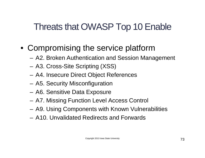## Threats that OWASP Top 10 Enable

- Compromising the service platform
	- A2. Broken Authentication and Session Management
	- A3. Cross-Site Scripting (XSS)
	- A4. Insecure Direct Object References
	- A5. Security Misconfiguration
	- A6. Sensitive Data Exposure
	- A7. Missing Function Level Access Control
	- A9. Using Components with Known Vulnerabilities
	- A10. Unvalidated Redirects and Forwards